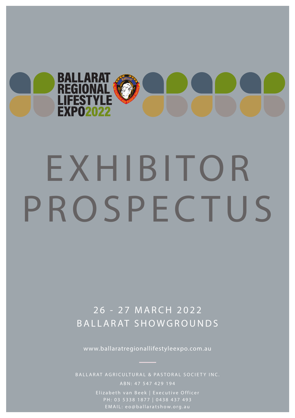

# EXHIBITOR PROSPECTUS

# 26 - 27 MARCH 2022 BALLARAT SHOWGROUNDS

www.ballaratregionallifestyleexpo.com.au

Elizabeth van Beek | Executive Officer PH: 03 5338 1877 | 0438 437 493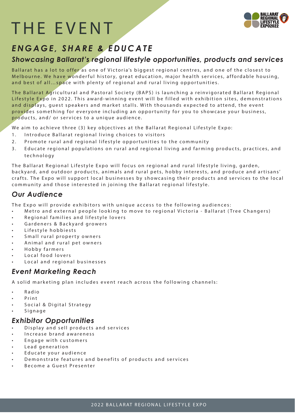# THE EVENT



## *ENGAGE, SHARE & EDUCATE*

#### *Showcasing Ballarat's regional lifestyle opportunities, products and services*

Ballarat has a lot to offer as one of Victoria's biggest regional centres, and one of the closest to Melbourne. We have wonderful history, great education, maior health services, affordable housing, and best of all…space with plenty of regional and rural living opportunities.

The Ballarat Agricultural and Pastoral Society (BAPS) is launching a reinvigorated Ballarat Regional Lifestyle Expo in 2022. This award-winning event will be filled with exhibition sites, demonstrations and displays, guest speakers and market stalls. With thousands expected to attend, the event provides something for everyone including an opportunity for you to showcase your business, products, and/ or services to a unique audience.

We aim to achieve three (3) key objectives at the Ballarat Regional Lifestyle Expo:

- 1. Introduce Ballarat regional living choices to visitors
- 2. Promote rural and regional lifestyle opportunities to the community
- 3. Educate regional populations on rural and regional living and farming products, practices, and technology

The Ballarat Regional Lifestyle Expo will focus on regional and rural lifestyle living, garden, backyard, and outdoor products, animals and rural pets, hobby interests, and produce and artisans' crafts. The Expo will support local businesses by showcasing their products and services to the local community and those interested in joining the Ballarat regional lifestyle.

#### *Our Audience*

The Expo will provide exhibitors with unique access to the following audiences:

- Metro and external people looking to move to regional Victoria Ballarat (Tree Changers)
- Regional families and lifestyle lovers
- Gardeners & Backyard growers
- Lifestyle hobbiests
- Small rural property owners
- Animal and rural pet owners
- Hobby farmers
- Local food lovers
- Local and regional businesses

#### *Event Marketing Reach*

A solid marketing plan includes event reach across the following channels:

- Radio
- Print
- Social & Digital Strategy
- Signage

#### *Exhibitor Opportunities*

- Display and sell products and services
- Increase brand awareness
- Engage with customers
- Lead generation
- Educate your audience
- Demonstrate features and benefits of products and services
- Become a Guest Presenter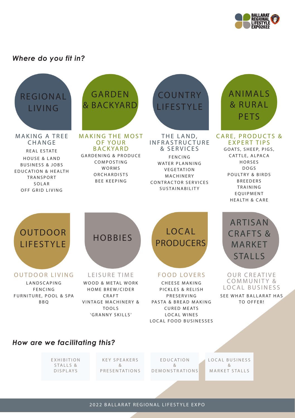

#### *Where do you fit in?*





#### *How are we facilitating this?*

E X H I B I T I O N STALLS & DISPLAYS

K E Y S P E A K E R S & **PRESENTATIONS** 

E D U C AT I O N & DEMONSTRATIONS LOCAL BUSINESS & MARKET STALLS

2022 BALLARAT REGIONAL LIFESTYLE EXPO 2022 BALLARAT REGIONAL LIFESTYLE EXPO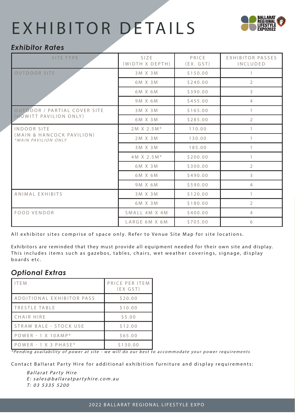# EXHIBITOR DETAILS



#### *Exhibitor Rates*

| SITE TYPE                                                       | <b>SIZE</b><br>(WIDTH X DEPTH) | PRICE<br>(EX. GST) | EXHIBITOR PASSES<br>INCLUDED |
|-----------------------------------------------------------------|--------------------------------|--------------------|------------------------------|
| <b>OUTDOOR SITE</b>                                             | 3M X 3M                        | \$150.00           | $\mathbf{1}$                 |
|                                                                 | 6M X 3M                        | \$240.00           | $\overline{2}$               |
|                                                                 | 6M X 6M                        | \$390.00           | 3                            |
|                                                                 | 9M X 6M                        | \$455.00           | $\overline{4}$               |
| <b>OUTDOOR / PARTIAL COVER SITE</b><br>(HOWITT PAVILION ONLY)   | 3 M X 3 M                      | \$165.00           | $\mathbf{1}$                 |
|                                                                 | 6M X 3M                        | \$285.00           | $\overline{2}$               |
| INDOOR SITE<br>(MAIN & HANCOCK PAVILION)<br>*MAIN PAVILION ONLY | $2M X 2.5M*$                   | 110.00             | $\mathbf{1}$                 |
|                                                                 | 2M X 3M                        | 130.00             | $\mathbf{1}$                 |
|                                                                 | 3M X 3M                        | 185.00             | $\mathbf{1}$                 |
|                                                                 | 4M X 2.5M*                     | \$200.00           | $\mathbf{1}$                 |
|                                                                 | 6M X 3M                        | \$300.00           | $\overline{2}$               |
|                                                                 | 6M X 6M                        | \$490.00           | 3                            |
|                                                                 | 9M X 6M                        | \$590.00           | $\overline{4}$               |
| ANIMAL EXHIBITS                                                 | 3 M X 3 M                      | \$120.00           | $\mathbf{1}$                 |
|                                                                 | 6M X 3M                        | \$180.00           | 2                            |
| FOOD VENDOR                                                     | SMALL 4M X 4M                  | \$400.00           | $\overline{4}$               |
|                                                                 | LARGE 6M X 6M                  | \$705.00           | 6                            |

All exhibitor sites comprise of space only. Refer to Venue Site Map for site locations.

Exhibitors are reminded that they must provide all equipment needed for their own site and display. This includes items such as gazebos, tables, chairs, wet weather coverings, signage, display boards etc.

#### *Optional Extras*

| <b>ITFM</b>               | PRICE PER ITEM<br>$(EX$ $GST)$ |
|---------------------------|--------------------------------|
| ADDITIONAL EXHIBITOR PASS | \$20.00                        |
| TRESTLE TABLE             | \$10.00                        |
| CHAIR HIRE                | \$5.00                         |
| STRAW BALE - STOCK USE    | \$12.00                        |
| $POWER - 1 X 10AMP*$      | \$65.00                        |
| $POWER - 1 X 3 PHASE*$    | \$130.00                       |

\*Pending availability of power at site - we will do our best to accommodate your power requirements

Contact Ballarat Party Hire for additional exhibition furniture and display requirements:

Ballarat Party Hire E: sales@ballaratpartyhire.com.au T: 03 5335 5200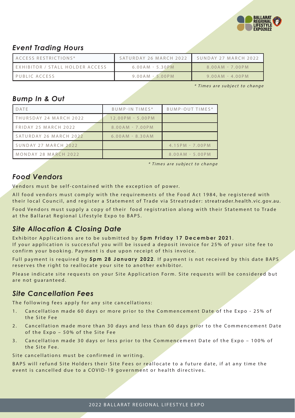

#### *Event Trading Hours*

| ACCESS RESTRICTIONS*            | SATURDAY 26 MARCH 2022 | SUNDAY 27 MARCH 2022 |
|---------------------------------|------------------------|----------------------|
| EXHIBITOR / STALL HOLDER ACCESS | $6.00AM - 5.30PM$      | $8.00AM - 7.00PM$    |
| PUBLIC ACCESS                   | $9.00AM - 5.00PM$      | $9.00AM - 4.00PM$    |

\* Times are subject to change

#### *Bump In & Out*

| DATE                   | BUMP-IN TIMES*     | BUMP-OUT TIMES*     |
|------------------------|--------------------|---------------------|
| THURSDAY 24 MARCH 2022 | $12.00PM - 5.00PM$ |                     |
| FRIDAY 25 MARCH 2022   | $8.00AM - 7.00PM$  |                     |
| SATURDAY 26 MARCH 2022 | $6.00AM - 8.30AM$  |                     |
| SUNDAY 27 MARCH 2022   |                    | $4.15$ PM - 7.00 PM |
| MONDAY 28 MARCH 2022   |                    | $8.00AM - 5.00PM$   |

\* Times are subject to change

#### *Food Vendors*

Vendors must be self-contained with the exception of power.

All food vendors must comply with the requirements of the Food Act 1984, be registered with their local Council, and register a Statement of Trade via Streatrader: streatrader.health.vic.gov.au.

Food Vendors must supply a copy of their food registration along with their Statement to Trade at the Ballarat Regional Lifestyle Expo to BAPS.

### *Site Allocation & Closing Date*

Exhibitor Applica tions are to be submitted by **5pm Friday 17 December 2021** . If your application is successful you will be issued a deposit invoice for 25% of your site fee to confirm your booking. Payment is due upon receipt of this invoice.

Full payment is required by 5pm 28 January 2022. If payment is not received by this date BAPS reserves the right to reallocate your site to another exhibitor.

Please indicate site requests on your Site Application Form. Site requests will be considered but are not guaranteed.

### *Site Cancellation Fees*

The following fees apply for any site cancellations:

- 1. Cancellation made 60 days or more prior to the Commencement Date of the Expo 25% of the Site Fee
- 2. Cancellation made more than 30 days and less than 60 days prior to the Commencement Date of the Expo – 50% of the Site Fee
- 3. Cancellation made 30 days or less prior to the Commencement Date of the Expo 100% of the Site Fee.

Site cancellations must be confirmed in writing.

BAPS will refund Site Holders their Site Fees or reallocate to a future date, if at any time the event is cancelled due to a COVID-19 government or health directives.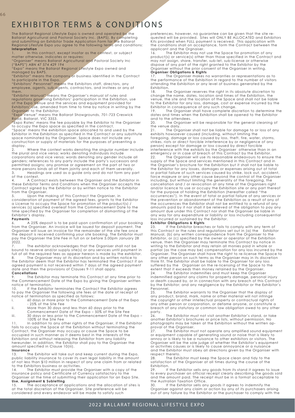### EXHIBITOR TERMS & CONDITIONS

The Ballarat Regional Lifestyle Expo is owned and operated by the Ballarat Agricultural and Pastoral Society Inc. (BAPS). By completing and submitting an Exhibitor Trade Application Form for the Ballarat Regional Lifestyle Expo you agree to the following terms and conditions: **Interpretation**

In this contract, except insofar as the context, or subject matter otherwise, indicates or requires:

"Organiser" means Ballarat Agricultural and Pastoral Society Inc ("BAPS") ABN 47 574 429 194 "Expo" means the Ballarat Regional Lifestyle Expo owned and

managed by BAPS.

"Exhibitor" means the company or business identified in the Contract to participate in the Expo.

"Exhibitors' Personnel" means the Exhibitors staff, directors, any employee, agents, sub-agents, contractors, and invitees or any of<br>them

them.<br>"Exhibitor Manual" means the Organiser's manual of rules and<br>regulations governing Exhibitors' participation in the Exhibition, use<br>of the Expo Venue and the services and equipment provided for Exhibitors' use, amended from time to time by notice in writing by the

**Organiser to the Exhibitor**<br>"Expo Venue" means the "Expo Venue" means the Ballarat Showgrounds, 701-723 Creswick Road, Ballarat, VIC 3353.

"Expo Rates' means the fee payable by the Exhibitor to the Organiser to occupy the Expo space as specified in the contract.

"Space' means the exhibition space allocated to and used by the Exhibitor in the Exhibition as specified in the Contract or any substitute space nominated by the Organiser. Space does not include any construction or supply of materials for the purposes of presenting a display.

2. Where the context works denoting the singular number include the plural and vice versa; works denoting individuals include corporations and vice versa; words denoting any gender include all genders; references to any party include the party's successors and permitted assigns; any promise or agreement on the part of two or more persons binds all of them jointly and each of them severally.

3. Headings are used as a guide only and do not form any part of the context.

4. A Contract exists between the Organiser and the Exhibitor in these Exhibitor Terms and Conditions when the Organiser accepts the Contract signed by the Exhibitor or by written notice to the Exhibitor from the Organiser.

5. Upon the making of this Contract the Organiser, in consideration of payment of the agreed fees, grants to the Exhibitor a License to occupy the Space for promotion of the product(s) / services (s) specified overleaf from the Commencement Date to the time specified by the Organiser for completion of dismantling of the Exhibitor's display.

#### **Payments**

6. A 25% deposit is to be paid upon confirmation of your booking from the Organiser. An invoice will be issued for deposit payment. The Organiser will issue an invoice for the remainder of the site fee once the deposit is received confirming your site booking. The Exhibitor must pay the Organiser the Site Fee in full on or before 5.00pm January 28  $2022.$ 

The exhibitor acknowledges that the Organiser shall not be bound to reserve and/or supply site(s) or any services until payment in full of all the required fees as appear hereon is made by the exhibitor.<br>B. The Organiser may alt is discretion and by written notice to

The Organiser may at its discretion and by written notice to the Exhibitor deem that the Exhibitor has terminated the Contract if an agreed payment is not received within 7 days of the agreed payment date and then the provisions of Clauses 9-11 shall apply.

#### **Cancellations**

The Exhibitor may terminate this Contract at any time prior to the Commencement Date of the Expo by giving the Organiser written notice of termination.<br>10. If the Exhibito

10. If the Exhibitor terminates the Contract the Exhibitor agrees to pay the Organiser the following site fees at the date of receipt of notice of termination as specified as follows:

- i. 60 days or more prior to the Commencement Date of the Expo - 25% of the Site Fee
- ii. More than 30 days and less than 60 days prior to the Commencement Date of the Expo – 50% of the Site Fee
- iii. 30 days or less prior to the Commencement Date of the Expo 100% of the Site Fee

11. In addition to any other rights of the Organiser, if the Exhibitor fails to occupy the Space at the Exhibition without terminating the Contract, the Organiser may occupy or cause the Space to be occupied in such manner as it deems best in the interests of the Exhibition and without releasing the Exhibitor from any liability hereunder. In addition, the Exhibitor shall pay to the Organiser the amount specified in Clause 10(iii).

#### **Insurance**

13. The Exhibitor will take out and keep current during the Expo, public liability insurance to cover its own legal liability in the amount of not less than \$10 million in respect of any one claim from or related to the Exhibitors business or activities.

14. The Exhibitor must provide the Organiser with a copy of the<br>insurance policy and Certificate of Currency satisfactory to the<br>Organiser at the time of submitting their application for an Expo Site.

#### **Use, Assignment & Subletting**

15. The acceptance of applications and the allocation of sites is at the total discretion of the Organiser. Site preference will be considered and every endeavor will be made to satisfy such

preferences, however, no guarantee can be given that the site requested will be provided. Sites will ONLY BE ALLOCATED and Exhibitors Kits provided when FULL payment is received. This application with this provided when need payment is received. This application with the conditions shall on acceptance, form the Contract between the applicant and the Orgnaiser.<br>16. The Exhibitor may not

In and the explanation.<br>The Exhibitor may not use the Space for promotion of any product(s) or service(s) other than those specified in the Contract and may not assign, share, transfer, sub-let, sub-license or otherwise dispose of any part of the right granted to the Exhibitor by the Organiser without the prior consent of the Organiser in writing.

#### **Organiser Obligations & Rights**

17. The Organiser makes no warranties or representations as to the performance of the Exhibition in regard to the number of visitors attending the Exhibition or any level of business generated by the Exhibition<sup>19</sup>

....<br>The Organiser reserves the right in its absolute discretion to change the name, dates, location and times of the Exhibition, the venue, the site and the location of the Space and shall not be liable to the Exhibitor for any loss, damage, cost or expense incurred by the Exhibitor in consequence of any such change.

19. The Organiser shall have complete discretion to determine the dates and times when the Exhibition shall be opened to the Exhibitor and to the attendees.<br>20 The Organiser

The Organiser will be responsible for the general cleaning of the venue daily.

21. The Organiser shall not be liable for damage to or loss of any exhibits howsoever caused (including, without limiting the foregoing, damage or loss caused by loss, theft, fire, water, storms, strikes, riots or direct forcible interference by or negligence of any person) except for damage or loss caused by direct forcible interference with the exhibits by the Organiser otherwise than in an emergency or in case of breach of this Contract by the Exhibitor.<br>22. The Organiser will use its reasonable endeavours to ensure 22. The Organiser will use its reasonable endeavours to ensure the supply of the Space and services mentioned in this Contract and in the Organiser's brochure for the Exhibition but it shall not be liable to the Exhibitor for any losses, damages or expenses arising out of total or partial failure of such services caused by strike, lock out, accident, force majeure or any other cause beyond the control of the Organiser including, but without limiting the generality of the foregoing, the cancellation and / or revocation at any time of the Organisers right and/or licence to use or occupy the Exhibition site or any part thereof<br>for the purpose of holding the Exhibition (hereafter called "the<br>occurrences"). In the event of total or partial failure of any services or the prevention or abandonment of the Exhibition as a result of any of the occurrences the Exhibitor shall not be entitled to a refund of any amounts paid by it nor shall it be relieved of the obligation to pay any amount due under this Contract nor shall the Organiser be liable in any way for any expenditure or liability or loss including consequential loss incurred or sustained by the Exhibitor.

#### **Exhibitor Obligations & Rights**

If the Exhibitor breaches or fails to comply with any term of this Contract or the rules and regulations set out in (a) the Exhibitor Manual, (b) any written correspondence from the Organiser to the Exhibitor, or (c) specified by the owner or operator of the Exhibition venue, then the Organiser may terminate this Contract by notice in writing to the Exhibitor and may retain all monies paid in whole or partial (as the case may be) compensation for any loss incurred by the Organiser. The Organiser shall have the right to re-license the Space to any other person on such terms as the Organiser may in its discretion think fit. The Exhibitor shall be liable to the Organiser for any loss suffered by the Organiser on the re-licensing of the Space to the extent that it exceeds then money retained by the Organiser.<br>24. The Exhibitor indemnifies and must keep the Organise

The Exhibitor indemnifies and must keep the Organiser indemnified against any claims for property damage, personal injury or death caused by, or in connection with any breach of this Contract by the Exhibitor; and any negligence by the Exhibitor or the Exhibitor's Personnel.<br>25. Th

The Exhibitor warrants to the Organiser that the display of any product, brand, mark, name or other material will not infringe the copyright or other intellectual property or contractual rights of any other person or corporation, or defame anyone, or constitute a breach of any statutory or common law obligation owed to any other party.<br>26

The Exhibitor must not visit another Exhibitor's stand, or take another Exhibitor's brochures or price lists, without permission. No photographs may be taken at the Exhibition without the written approval of the Organiser.<br>27 The Exhibitor mu

27. The Exhibitor must not operate any amplified sound equipment or equipment capable of generating sound or noise that is likely to annoy or is likely to be a nuisance to other exhibitors or visitors. The Organiser will be the sole judge of whether the Exhibitor's equipment or activities causes or is likely to cause annoyance or a nuisance and the Exhibitor must obey all directions given by the Organiser with respect thereto.<br>28. The Exhi

The Exhibitor must keep the Space clean and tidy to the satisfaction of the Organiser at all times during the course of the Exhibition.

29. If the Exhibitor sells any goods from its stand it agrees to issue to every purchaser an official receipt clearly describing the goods sold and the amount paid. The receipt must be in a format acceptable to the Australian Taxation Office.

30. If the Exhibitor sells any goods it agrees to indemnify the Organiser against any claim or action by any of its purchasers arising out of any failure by the Exhibitor or the purchaser to comply with the